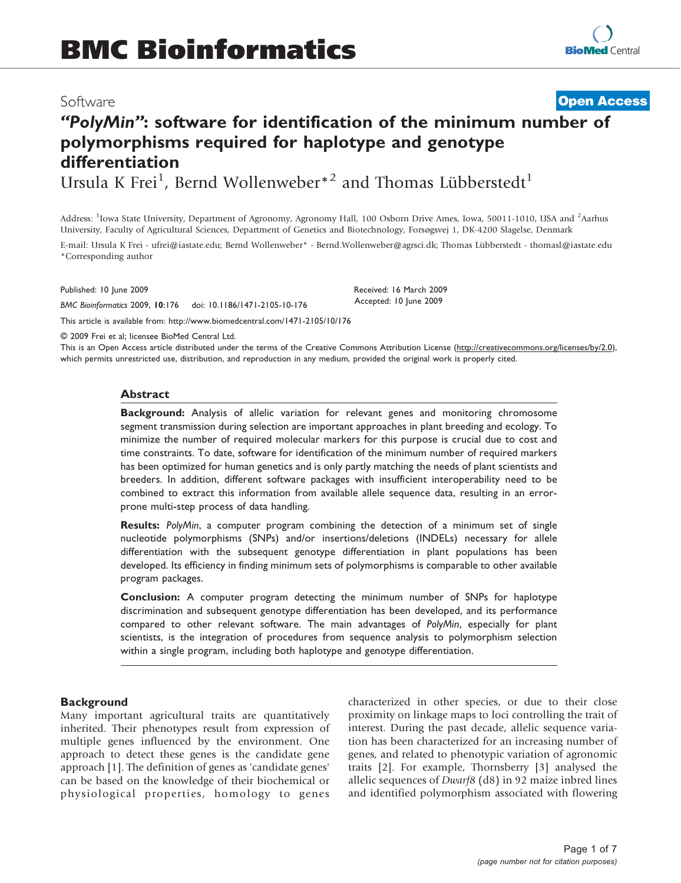## Software

# "PolyMin": software for identification of the minimum number of polymorphisms required for haplotype and genotype differentiation **[Open Access](http://www.biomedcentral.com/info/about/charter/)**

Ursula K Frei<sup>1</sup>, Bernd Wollenweber<sup>\*2</sup> and Thomas Lübberstedt<sup>1</sup>

Address: <sup>1</sup>Iowa State University, Department of Agronomy, Agronomy Hall, 100 Osborn Drive Ames, Iowa, 50011-1010, USA and <sup>2</sup>Aarhus University, Faculty of Agricultural Sciences, Department of Genetics and Biotechnology, Forsøgsvej 1, DK-4200 Slagelse, Denmark

E-mail: Ursula K Frei - ufrei@iastate.edu; Bernd Wollenweber\* - Bernd.Wollenweber@agrsci.dk; Thomas Lübberstedt - thomasl@iastate.edu \*Corresponding author

Published: 10 June 2009 **Received: 16 March 2009** Received: 16 March 2009

BMC Bioinformatics 2009, <sup>10</sup>:176 doi: 10.1186/1471-2105-10-176 Accepted: 10 June 2009

This article is available from: http://www.biomedcentral.com/1471-2105/10/176

© 2009 Frei et al; licensee BioMed Central Ltd.

This is an Open Access article distributed under the terms of the Creative Commons Attribution License [\(http://creativecommons.org/licenses/by/2.0\)](http://creativecommons.org/licenses/by/2.0), which permits unrestricted use, distribution, and reproduction in any medium, provided the original work is properly cited.

#### Abstract

Background: Analysis of allelic variation for relevant genes and monitoring chromosome segment transmission during selection are important approaches in plant breeding and ecology. To minimize the number of required molecular markers for this purpose is crucial due to cost and time constraints. To date, software for identification of the minimum number of required markers has been optimized for human genetics and is only partly matching the needs of plant scientists and breeders. In addition, different software packages with insufficient interoperability need to be combined to extract this information from available allele sequence data, resulting in an errorprone multi-step process of data handling.

Results: PolyMin, a computer program combining the detection of a minimum set of single nucleotide polymorphisms (SNPs) and/or insertions/deletions (INDELs) necessary for allele differentiation with the subsequent genotype differentiation in plant populations has been developed. Its efficiency in finding minimum sets of polymorphisms is comparable to other available program packages.

Conclusion: A computer program detecting the minimum number of SNPs for haplotype discrimination and subsequent genotype differentiation has been developed, and its performance compared to other relevant software. The main advantages of PolyMin, especially for plant scientists, is the integration of procedures from sequence analysis to polymorphism selection within a single program, including both haplotype and genotype differentiation.

## **Background**

Many important agricultural traits are quantitatively inherited. Their phenotypes result from expression of multiple genes influenced by the environment. One approach to detect these genes is the candidate gene approach [[1](#page-5-0)]. The definition of genes as 'candidate genes' can be based on the knowledge of their biochemical or physiological properties, homology to genes characterized in other species, or due to their close proximity on linkage maps to loci controlling the trait of interest. During the past decade, allelic sequence variation has been characterized for an increasing number of genes, and related to phenotypic variation of agronomic traits [\[2\]](#page-5-0). For example, Thornsberry [[3](#page-5-0)] analysed the allelic sequences of Dwarf8 (d8) in 92 maize inbred lines and identified polymorphism associated with flowering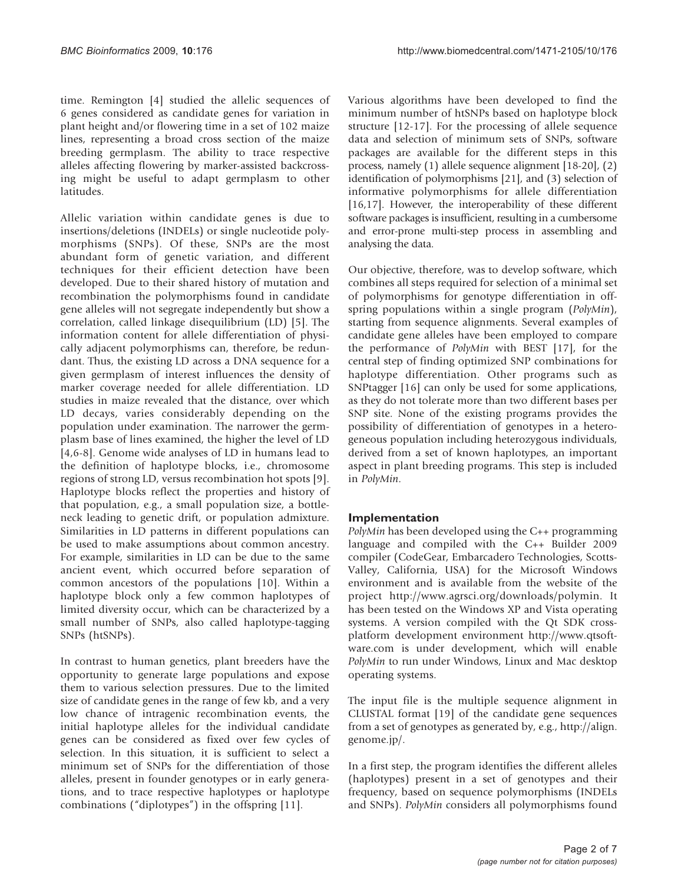time. Remington [[4](#page-5-0)] studied the allelic sequences of 6 genes considered as candidate genes for variation in plant height and/or flowering time in a set of 102 maize lines, representing a broad cross section of the maize breeding germplasm. The ability to trace respective alleles affecting flowering by marker-assisted backcrossing might be useful to adapt germplasm to other latitudes.

Allelic variation within candidate genes is due to insertions/deletions (INDELs) or single nucleotide polymorphisms (SNPs). Of these, SNPs are the most abundant form of genetic variation, and different techniques for their efficient detection have been developed. Due to their shared history of mutation and recombination the polymorphisms found in candidate gene alleles will not segregate independently but show a correlation, called linkage disequilibrium (LD) [[5](#page-5-0)]. The information content for allele differentiation of physically adjacent polymorphisms can, therefore, be redundant. Thus, the existing LD across a DNA sequence for a given germplasm of interest influences the density of marker coverage needed for allele differentiation. LD studies in maize revealed that the distance, over which LD decays, varies considerably depending on the population under examination. The narrower the germplasm base of lines examined, the higher the level of LD [[4](#page-5-0),[6-8\]](#page-5-0). Genome wide analyses of LD in humans lead to the definition of haplotype blocks, i.e., chromosome regions of strong LD, versus recombination hot spots [[9](#page-5-0)]. Haplotype blocks reflect the properties and history of that population, e.g., a small population size, a bottleneck leading to genetic drift, or population admixture. Similarities in LD patterns in different populations can be used to make assumptions about common ancestry. For example, similarities in LD can be due to the same ancient event, which occurred before separation of common ancestors of the populations [[10](#page-6-0)]. Within a haplotype block only a few common haplotypes of limited diversity occur, which can be characterized by a small number of SNPs, also called haplotype-tagging SNPs (htSNPs).

In contrast to human genetics, plant breeders have the opportunity to generate large populations and expose them to various selection pressures. Due to the limited size of candidate genes in the range of few kb, and a very low chance of intragenic recombination events, the initial haplotype alleles for the individual candidate genes can be considered as fixed over few cycles of selection. In this situation, it is sufficient to select a minimum set of SNPs for the differentiation of those alleles, present in founder genotypes or in early generations, and to trace respective haplotypes or haplotype combinations ("diplotypes") in the offspring [[11\]](#page-6-0).

Various algorithms have been developed to find the minimum number of htSNPs based on haplotype block structure [\[12](#page-6-0)-[17](#page-6-0)]. For the processing of allele sequence data and selection of minimum sets of SNPs, software packages are available for the different steps in this process, namely (1) allele sequence alignment [[18-20\]](#page-6-0), (2) identification of polymorphisms [\[21\]](#page-6-0), and (3) selection of informative polymorphisms for allele differentiation [\[16,17\]](#page-6-0). However, the interoperability of these different software packages is insufficient, resulting in a cumbersome and error-prone multi-step process in assembling and analysing the data.

Our objective, therefore, was to develop software, which combines all steps required for selection of a minimal set of polymorphisms for genotype differentiation in offspring populations within a single program (PolyMin), starting from sequence alignments. Several examples of candidate gene alleles have been employed to compare the performance of PolyMin with BEST [\[17](#page-6-0)], for the central step of finding optimized SNP combinations for haplotype differentiation. Other programs such as SNPtagger [\[16](#page-6-0)] can only be used for some applications, as they do not tolerate more than two different bases per SNP site. None of the existing programs provides the possibility of differentiation of genotypes in a heterogeneous population including heterozygous individuals, derived from a set of known haplotypes, an important aspect in plant breeding programs. This step is included in PolyMin.

## Implementation

PolyMin has been developed using the C++ programming language and compiled with the C++ Builder 2009 compiler (CodeGear, Embarcadero Technologies, Scotts-Valley, California, USA) for the Microsoft Windows environment and is available from the website of the project<http://www.agrsci.org/downloads/polymin>. It has been tested on the Windows XP and Vista operating systems. A version compiled with the Qt SDK crossplatform development environment [http://www.qtsoft](http://www.qtsoftware.com)[ware.com](http://www.qtsoftware.com) is under development, which will enable PolyMin to run under Windows, Linux and Mac desktop operating systems.

The input file is the multiple sequence alignment in CLUSTAL format [[19\]](#page-6-0) of the candidate gene sequences from a set of genotypes as generated by, e.g., [http://align.](http://align.genome.jp/) [genome.jp/.](http://align.genome.jp/)

In a first step, the program identifies the different alleles (haplotypes) present in a set of genotypes and their frequency, based on sequence polymorphisms (INDELs and SNPs). PolyMin considers all polymorphisms found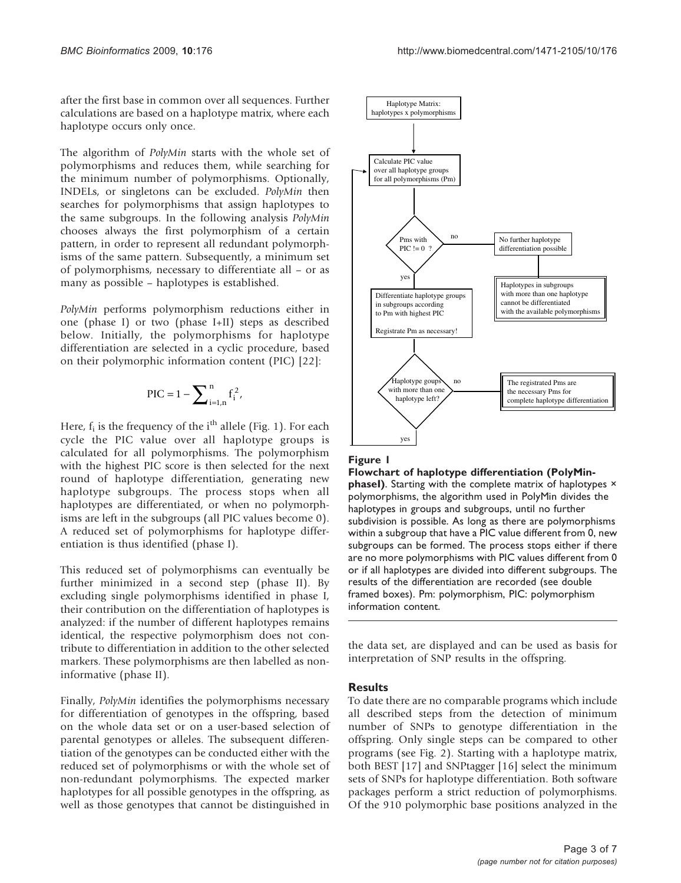after the first base in common over all sequences. Further calculations are based on a haplotype matrix, where each haplotype occurs only once.

The algorithm of PolyMin starts with the whole set of polymorphisms and reduces them, while searching for the minimum number of polymorphisms. Optionally, INDELs, or singletons can be excluded. PolyMin then searches for polymorphisms that assign haplotypes to the same subgroups. In the following analysis PolyMin chooses always the first polymorphism of a certain pattern, in order to represent all redundant polymorphisms of the same pattern. Subsequently, a minimum set of polymorphisms, necessary to differentiate all – or as many as possible – haplotypes is established.

PolyMin performs polymorphism reductions either in one (phase I) or two (phase I+II) steps as described below. Initially, the polymorphisms for haplotype differentiation are selected in a cyclic procedure, based on their polymorphic information content (PIC) [\[22](#page-6-0)]:

$$
PIC = 1 - \sum_{i=1,n}^{n} f_i^2,
$$

Here,  $f_i$  is the frequency of the i<sup>th</sup> allele (Fig. 1). For each cycle the PIC value over all haplotype groups is calculated for all polymorphisms. The polymorphism with the highest PIC score is then selected for the next round of haplotype differentiation, generating new haplotype subgroups. The process stops when all haplotypes are differentiated, or when no polymorphisms are left in the subgroups (all PIC values become 0). A reduced set of polymorphisms for haplotype differentiation is thus identified (phase I).

This reduced set of polymorphisms can eventually be further minimized in a second step (phase II). By excluding single polymorphisms identified in phase I, their contribution on the differentiation of haplotypes is analyzed: if the number of different haplotypes remains identical, the respective polymorphism does not contribute to differentiation in addition to the other selected markers. These polymorphisms are then labelled as noninformative (phase II).

Finally, PolyMin identifies the polymorphisms necessary for differentiation of genotypes in the offspring, based on the whole data set or on a user-based selection of parental genotypes or alleles. The subsequent differentiation of the genotypes can be conducted either with the reduced set of polymorphisms or with the whole set of non-redundant polymorphisms. The expected marker haplotypes for all possible genotypes in the offspring, as well as those genotypes that cannot be distinguished in



#### Figure 1

Flowchart of haplotype differentiation (PolyMin-

phaseI). Starting with the complete matrix of haplotypes × polymorphisms, the algorithm used in PolyMin divides the haplotypes in groups and subgroups, until no further subdivision is possible. As long as there are polymorphisms within a subgroup that have a PIC value different from 0, new subgroups can be formed. The process stops either if there are no more polymorphisms with PIC values different from 0 or if all haplotypes are divided into different subgroups. The results of the differentiation are recorded (see double framed boxes). Pm: polymorphism, PIC: polymorphism information content.

the data set, are displayed and can be used as basis for interpretation of SNP results in the offspring.

#### **Results**

To date there are no comparable programs which include all described steps from the detection of minimum number of SNPs to genotype differentiation in the offspring. Only single steps can be compared to other programs (see Fig. [2](#page-3-0)). Starting with a haplotype matrix, both BEST [\[17](#page-6-0)] and SNPtagger [[16\]](#page-6-0) select the minimum sets of SNPs for haplotype differentiation. Both software packages perform a strict reduction of polymorphisms. Of the 910 polymorphic base positions analyzed in the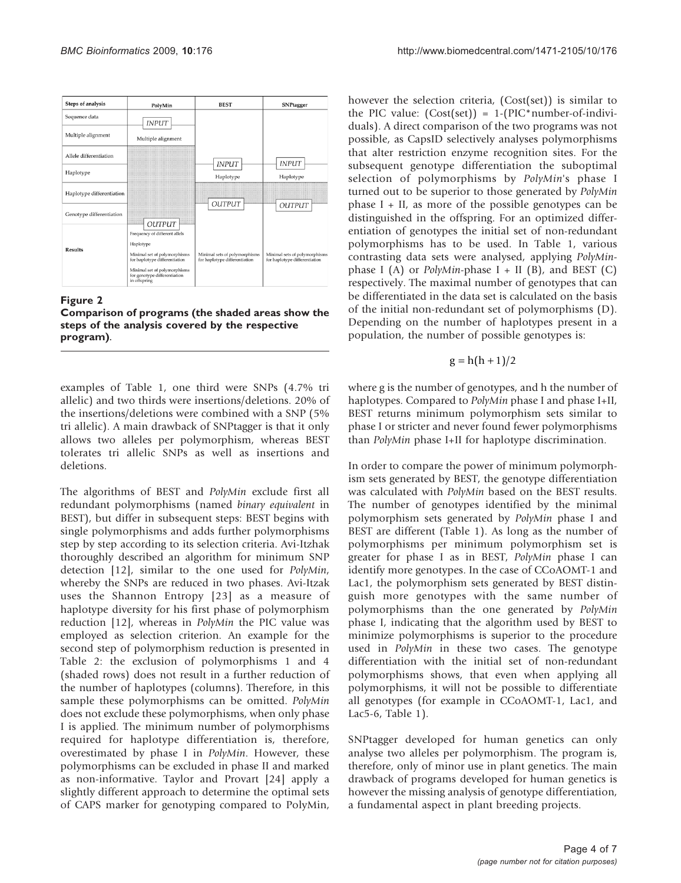<span id="page-3-0"></span>

| Steps of analysis         | PolyMin                                                                      | <b>BEST</b>                                                    | SNPtagger                                                      |
|---------------------------|------------------------------------------------------------------------------|----------------------------------------------------------------|----------------------------------------------------------------|
| Sequence data             | <b>INPUT</b>                                                                 |                                                                |                                                                |
| Multiple alignment        | Multiple alignment                                                           |                                                                |                                                                |
| Allele differentiation    |                                                                              | <b>INPUT</b>                                                   | <b>INPUT</b>                                                   |
| Haplotype                 |                                                                              | Haplotype                                                      | Haplotype                                                      |
| Haplotype differentiation |                                                                              |                                                                |                                                                |
| Genotype differentiation  | <b>OUTPUT</b>                                                                | <b>OUTPUT</b>                                                  | <b>OUTPUT</b>                                                  |
| <b>Results</b>            | Frequency of different allels<br>Haplotype                                   |                                                                |                                                                |
|                           | Minimal set of polymorphisms<br>for haplotype differentiation                | Minimal sets of polymorphisms<br>for haplotype differentiation | Minimal sets of polymorphisms<br>for haplotype differentiation |
|                           | Minimal set of polymorphisms<br>for genotype differentiation<br>in offspring |                                                                |                                                                |

Figure 2

Comparison of programs (the shaded areas show the steps of the analysis covered by the respective program).

examples of Table [1,](#page-4-0) one third were SNPs (4.7% tri allelic) and two thirds were insertions/deletions. 20% of the insertions/deletions were combined with a SNP (5% tri allelic). A main drawback of SNPtagger is that it only allows two alleles per polymorphism, whereas BEST tolerates tri allelic SNPs as well as insertions and deletions.

The algorithms of BEST and PolyMin exclude first all redundant polymorphisms (named binary equivalent in BEST), but differ in subsequent steps: BEST begins with single polymorphisms and adds further polymorphisms step by step according to its selection criteria. Avi-Itzhak thoroughly described an algorithm for minimum SNP detection [[12\]](#page-6-0), similar to the one used for PolyMin, whereby the SNPs are reduced in two phases. Avi-Itzak uses the Shannon Entropy [[23\]](#page-6-0) as a measure of haplotype diversity for his first phase of polymorphism reduction [[12](#page-6-0)], whereas in PolyMin the PIC value was employed as selection criterion. An example for the second step of polymorphism reduction is presented in Table [2](#page-5-0): the exclusion of polymorphisms 1 and 4 (shaded rows) does not result in a further reduction of the number of haplotypes (columns). Therefore, in this sample these polymorphisms can be omitted. PolyMin does not exclude these polymorphisms, when only phase I is applied. The minimum number of polymorphisms required for haplotype differentiation is, therefore, overestimated by phase I in PolyMin. However, these polymorphisms can be excluded in phase II and marked as non-informative. Taylor and Provart [[24](#page-6-0)] apply a slightly different approach to determine the optimal sets of CAPS marker for genotyping compared to PolyMin, however the selection criteria, (Cost(set)) is similar to the PIC value:  $(Cost(set)) = 1-(PIC*number-of-indivi$ duals). A direct comparison of the two programs was not possible, as CapsID selectively analyses polymorphisms that alter restriction enzyme recognition sites. For the subsequent genotype differentiation the suboptimal selection of polymorphisms by PolyMin's phase I turned out to be superior to those generated by PolyMin phase I + II, as more of the possible genotypes can be distinguished in the offspring. For an optimized differentiation of genotypes the initial set of non-redundant polymorphisms has to be used. In Table [1,](#page-4-0) various contrasting data sets were analysed, applying PolyMinphase I (A) or *PolyMin*-phase I + II (B), and BEST (C) respectively. The maximal number of genotypes that can be differentiated in the data set is calculated on the basis of the initial non-redundant set of polymorphisms (D). Depending on the number of haplotypes present in a population, the number of possible genotypes is:

$$
g = h(h+1)/2
$$

where g is the number of genotypes, and h the number of haplotypes. Compared to *PolyMin* phase I and phase I+II, BEST returns minimum polymorphism sets similar to phase I or stricter and never found fewer polymorphisms than PolyMin phase I+II for haplotype discrimination.

In order to compare the power of minimum polymorphism sets generated by BEST, the genotype differentiation was calculated with PolyMin based on the BEST results. The number of genotypes identified by the minimal polymorphism sets generated by PolyMin phase I and BEST are different (Table [1](#page-4-0)). As long as the number of polymorphisms per minimum polymorphism set is greater for phase I as in BEST, PolyMin phase I can identify more genotypes. In the case of CCoAOMT-1 and Lac1, the polymorphism sets generated by BEST distinguish more genotypes with the same number of polymorphisms than the one generated by PolyMin phase I, indicating that the algorithm used by BEST to minimize polymorphisms is superior to the procedure used in PolyMin in these two cases. The genotype differentiation with the initial set of non-redundant polymorphisms shows, that even when applying all polymorphisms, it will not be possible to differentiate all genotypes (for example in CCoAOMT-1, Lac1, and Lac5-6, Table [1\)](#page-4-0).

SNPtagger developed for human genetics can only analyse two alleles per polymorphism. The program is, therefore, only of minor use in plant genetics. The main drawback of programs developed for human genetics is however the missing analysis of genotype differentiation, a fundamental aspect in plant breeding projects.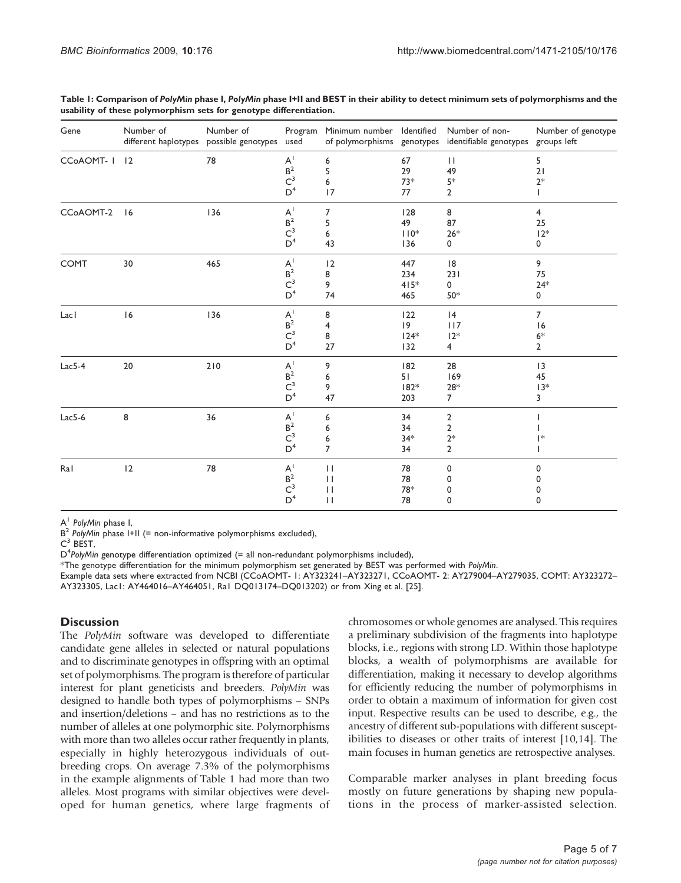| Gene          | Number of<br>different haplotypes | Number of<br>possible genotypes used |                                                    | Program Minimum number Identified                            |                             | Number of non-<br>of polymorphisms genotypes identifiable genotypes | Number of genotype<br>groups left              |
|---------------|-----------------------------------|--------------------------------------|----------------------------------------------------|--------------------------------------------------------------|-----------------------------|---------------------------------------------------------------------|------------------------------------------------|
| CCoAOMT-    2 |                                   | 78                                   | $A^1$<br>$B^2$<br>$C^3$<br>D <sup>4</sup>          | 6<br>5<br>6<br>17                                            | 67<br>29<br>$73*$<br>77     | $\mathbf{H}$<br>49<br>$5^\ast$<br>$\overline{2}$                    | 5<br>21<br>$2*$                                |
| CCoAOMT-2     | 6                                 | 136                                  | $A^1$<br>$B^2$<br>$C^3$<br>D <sup>4</sup>          | 7<br>5<br>6<br>43                                            | 128<br>49<br>$110*$<br>136  | 8<br>87<br>$26*$<br>0                                               | 4<br>25<br>$12*$<br>0                          |
| COMT          | 30                                | 465                                  | $A^1$<br>$B^2$<br>$C^3$<br>D <sup>4</sup>          | 2<br>8<br>9<br>74                                            | 447<br>234<br>$415*$<br>465 | 8<br>231<br>0<br>50*                                                | 9<br>75<br>$24*$<br>0                          |
| Lac I         | 6                                 | 136                                  | $A^1$<br>$B^2$<br>$C^3$<br>$\mathsf{D}^4$          | 8<br>4<br>8<br>27                                            | 122<br> 9<br>$124*$<br>132  | 4<br>117<br>$12*$<br>4                                              | $\overline{7}$<br>16<br>$6*$<br>$\overline{2}$ |
| $Lac5-4$      | $20\,$                            | $210$                                | $A1B2C3$<br>D <sup>4</sup>                         | 9<br>6<br>9<br>47                                            | 182<br>51<br>$182*$<br>203  | 28<br>169<br>28*<br>$\overline{7}$                                  | 3<br>45<br>$13*$<br>3                          |
| Lac5-6        | 8                                 | 36                                   | $A1B2C3$<br>D <sup>4</sup>                         | 6<br>6<br>6<br>$\overline{7}$                                | 34<br>34<br>$34*$<br>34     | 2<br>$\overline{2}$<br>$2*$<br>$\overline{2}$                       | I∗                                             |
| Ral           | 12                                | 78                                   | $A^1$<br>$B^2$<br>C <sup>3</sup><br>D <sup>4</sup> | $\mathbf{H}$<br>$\mathbf{H}$<br>$\mathbf{H}$<br>$\mathbf{H}$ | 78<br>78<br>78*<br>78       | 0<br>0<br>0<br>0                                                    | 0<br>0<br>0<br>0                               |

<span id="page-4-0"></span>Table 1: Comparison of PolyMin phase I, PolyMin phase I+II and BEST in their ability to detect minimum sets of polymorphisms and the usability of these polymorphism sets for genotype differentiation.

A<sup>1</sup> PolyMin phase I,

 $B^2$  PolyMin phase I+II (= non-informative polymorphisms excluded),

 $C^3$  BEST,

D<sup>4</sup>PolyMin genotype differentiation optimized (= all non-redundant polymorphisms included),

\*The genotype differentiation for the minimum polymorphism set generated by BEST was performed with PolyMin.

Example data sets where extracted from NCBI (CCoAOMT- 1: AY323241–AY323271, CCoAOMT- 2: AY279004–AY279035, COMT: AY323272– AY323305, Lac1: AY464016–AY464051, Ra1 DQ013174–DQ013202) or from Xing et al. [\[25\]](#page-6-0).

#### **Discussion**

The PolyMin software was developed to differentiate candidate gene alleles in selected or natural populations and to discriminate genotypes in offspring with an optimal set of polymorphisms. The program is therefore of particular interest for plant geneticists and breeders. PolyMin was designed to handle both types of polymorphisms – SNPs and insertion/deletions – and has no restrictions as to the number of alleles at one polymorphic site. Polymorphisms with more than two alleles occur rather frequently in plants, especially in highly heterozygous individuals of outbreeding crops. On average 7.3% of the polymorphisms in the example alignments of Table 1 had more than two alleles. Most programs with similar objectives were developed for human genetics, where large fragments of chromosomes or whole genomes are analysed. This requires a preliminary subdivision of the fragments into haplotype blocks, i.e., regions with strong LD. Within those haplotype blocks, a wealth of polymorphisms are available for differentiation, making it necessary to develop algorithms for efficiently reducing the number of polymorphisms in order to obtain a maximum of information for given cost input. Respective results can be used to describe, e.g., the ancestry of different sub-populations with different susceptibilities to diseases or other traits of interest [\[10,14\]](#page-6-0). The main focuses in human genetics are retrospective analyses.

Comparable marker analyses in plant breeding focus mostly on future generations by shaping new populations in the process of marker-assisted selection.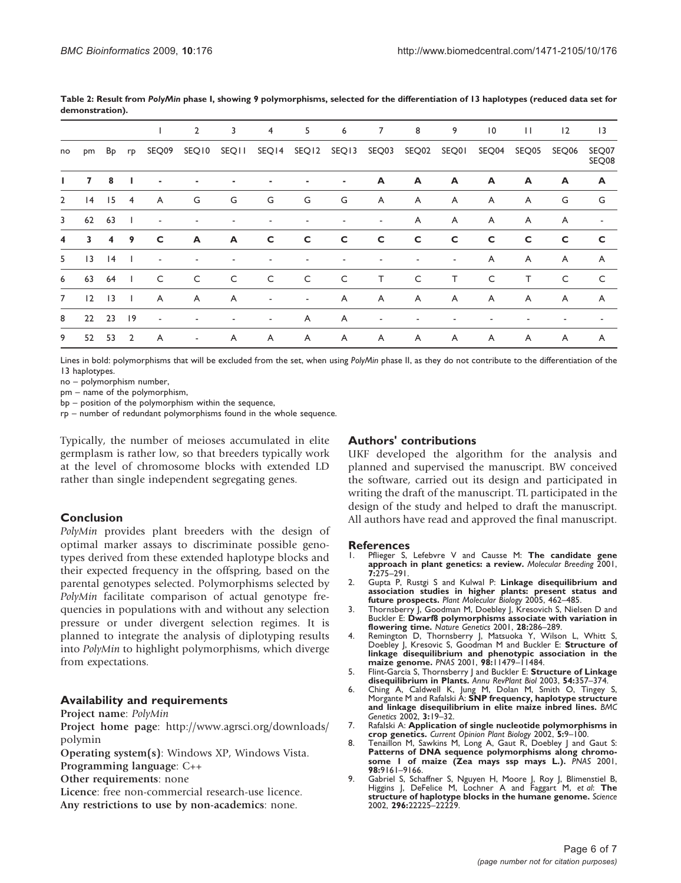|                |                 |                         |                |                          | $\overline{2}$           | 3                        | $\overline{4}$           | 5                        | 6     | 7                        | 8           | 9            | $\overline{10}$ | $\mathbf{H}$ | 12             | $ 3\rangle$              |
|----------------|-----------------|-------------------------|----------------|--------------------------|--------------------------|--------------------------|--------------------------|--------------------------|-------|--------------------------|-------------|--------------|-----------------|--------------|----------------|--------------------------|
| no             | pm              | Bp                      | rp             | SEQ09                    | SEQ10                    | <b>SEQ11</b>             | SEQ14                    | SEQ12                    | SEQ13 | SEQ03                    | SEQ02       | SEQ01        | SEQ04           | SEQ05        | SEQ06          | SEQ07<br>SEQ08           |
| J.             | 7               | 8                       |                | ٠                        | ٠                        | ٠                        | ۰                        | ۰                        | ٠     | A                        | A           | A            | A               | A            | A              | A                        |
| $\overline{2}$ | $ 4\rangle$     | 15                      | $\overline{4}$ | A                        | G                        | G                        | G                        | G                        | G     | A                        | A           | A            | A               | A            | G              | G                        |
| 3              | 62              | 63                      |                | $\overline{\phantom{a}}$ | ٠                        |                          |                          |                          |       | ٠                        | A           | A            | $\overline{A}$  | A            | $\overline{A}$ | $\overline{\phantom{a}}$ |
| 4              | 3               | $\overline{\mathbf{4}}$ | 9              | C                        | A                        | $\mathbf{A}$             | C                        | $\mathbf c$              | C     | C                        | $\mathbf c$ | C            | $\mathbf C$     | C            | C              | C                        |
| 5.             | $\overline{13}$ | 4                       |                | $\overline{\phantom{a}}$ | ٠                        | $\overline{\phantom{a}}$ | ٠                        | ٠                        | -     | ٠                        | -           | ٠            | A               | A            | A              | A                        |
| 6              | 63              | 64                      |                | C                        | C                        | C                        | C                        | C                        | C     | T                        | C           | T            | C               | Τ            | C              | C                        |
| 7              | 12              | 3                       | $\blacksquare$ | A                        | A                        | $\overline{A}$           | $\overline{\phantom{a}}$ | $\overline{\phantom{a}}$ | A     | A                        | A           | $\mathsf{A}$ | A               | A            | A              | A                        |
| 8              | 22              | 23                      | 9              | $\overline{\phantom{a}}$ | ٠                        | ٠                        | ٠                        | A                        | A     | $\overline{\phantom{a}}$ |             |              |                 |              |                | ٠                        |
| 9              | 52              | 53                      | $\overline{2}$ | A                        | $\overline{\phantom{a}}$ | A                        | A                        | A                        | A     | A                        | A           | A            | A               | A            | A              | A                        |

<span id="page-5-0"></span>Table 2: Result from PolyMin phase I, showing 9 polymorphisms, selected for the differentiation of 13 haplotypes (reduced data set for demonstration).

Lines in bold: polymorphisms that will be excluded from the set, when using PolyMin phase II, as they do not contribute to the differentiation of the 13 haplotypes.

no – polymorphism number,

pm – name of the polymorphism,

bp – position of the polymorphism within the sequence,

rp – number of redundant polymorphisms found in the whole sequence.

Typically, the number of meioses accumulated in elite germplasm is rather low, so that breeders typically work at the level of chromosome blocks with extended LD rather than single independent segregating genes.

## Conclusion

PolyMin provides plant breeders with the design of optimal marker assays to discriminate possible genotypes derived from these extended haplotype blocks and their expected frequency in the offspring, based on the parental genotypes selected. Polymorphisms selected by PolyMin facilitate comparison of actual genotype frequencies in populations with and without any selection pressure or under divergent selection regimes. It is planned to integrate the analysis of diplotyping results into PolyMin to highlight polymorphisms, which diverge from expectations.

## Availability and requirements

Project name: PolyMin

Project home page: [http://www.agrsci.org/downloads/](http://www.agrsci.org/downloads/polymin) [polymin](http://www.agrsci.org/downloads/polymin)

Operating system(s): Windows XP, Windows Vista.

Programming language: C++

Other requirements: none

Licence: free non-commercial research-use licence. Any restrictions to use by non-academics: none.

## Authors' contributions

UKF developed the algorithm for the analysis and planned and supervised the manuscript. BW conceived the software, carried out its design and participated in writing the draft of the manuscript. TL participated in the design of the study and helped to draft the manuscript. All authors have read and approved the final manuscript.

# **References**<br>1. Pflieger S.

- Pflieger S, Lefebvre V and Causse M: The candidate gene approach in plant genetics: a review. Molecular Breeding 2001, 7:275–291.
- 2. Gupta P, Rustgi S and Kulwal P: Linkage disequilibrium and association studies in higher plants: present status and future prospects. Plant Molecular Biology 2005, 462–485.
- 3. Thornsberry J, Goodman M, Doebley J, Kresovich S, Nielsen D and Buckler E: [Dwarf8 polymorphisms associate with variation in](http://www.ncbi.nlm.nih.gov/pubmed/11431702?dopt=Abstract) [flowering time.](http://www.ncbi.nlm.nih.gov/pubmed/11431702?dopt=Abstract) Nature Genetics 2001, 28:286–289.
- 4. Remington D, Thornsberry J, Matsuoka Y, Wilson L, Whitt S.<br>Doebley J, Kresovic S, Goodman M and Buckler E: **Structure o**f [linkage disequilibrium and phenotypic association in the](http://www.ncbi.nlm.nih.gov/pubmed/11562485?dopt=Abstract) [maize genome.](http://www.ncbi.nlm.nih.gov/pubmed/11562485?dopt=Abstract) PNAS 2001, 98:11479–11484.
- 5. Flint-Garcia S, Thornsberry J and Buckler E: Structure of Linkage disequilibrium in Plants. Annu RevPlant Biol 2003, 54:357–374.
- 6. Ching A, Caldwell K, Jung M, Dolan M, Smith O, Tingey S, Morgante M and Rafalski A: [SNP frequency, haplotype structure](http://www.ncbi.nlm.nih.gov/pubmed/12366868?dopt=Abstract) [and linkage disequilibrium in elite maize inbred lines.](http://www.ncbi.nlm.nih.gov/pubmed/12366868?dopt=Abstract) BMC Genetics 2002, 3:19–32.
- 7. Rafalski A: Application of single nucleotide polymorphisms in crop genetics. Current Opinion Plant Biology 2002, 5:9–100.
- 8. Tenaillon M, Sawkins M, Long A, Gaut R, Doebley J and Gaut S: [Patterns of DNA sequence polymorphisms along chromo](http://www.ncbi.nlm.nih.gov/pubmed/11470895?dopt=Abstract)some I of maize (Zea mays ssp mays L.). PNAS 2001, 98:9161–9166.
- 9. Gabriel S, Schaffner S, Nguyen H, Moore J, Roy J, Blimenstiel B, Higgins J, DeFelice M, Lochner A and Faggart M, et al: The structure of haplotype blocks in the humane genome. Science 2002, 296:22225–22229.